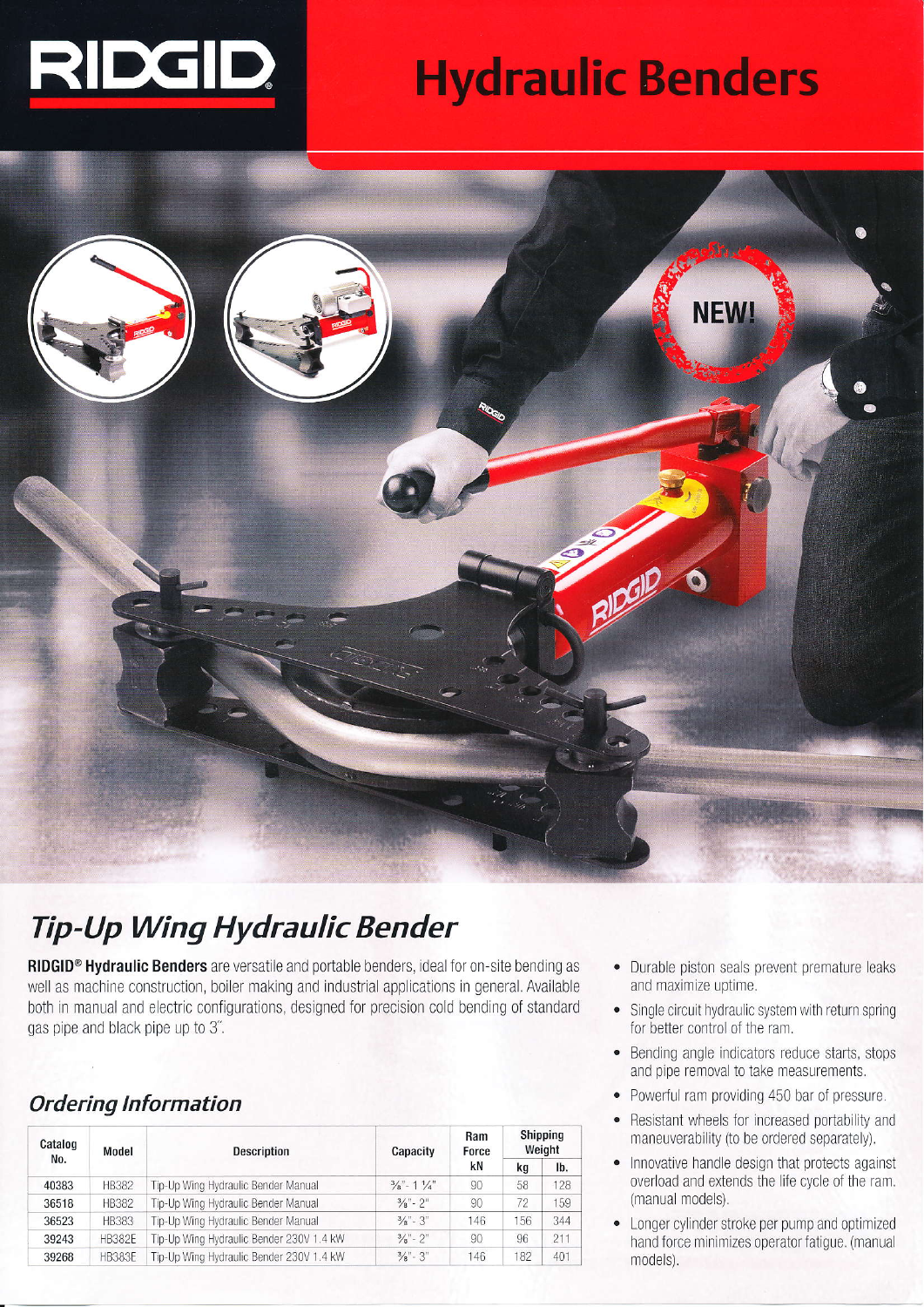

# **Hydraulic Benders**



## **Tip-Up Wing Hydraulic Bender**

RIDGID<sup>®</sup> Hydraulic Benders are versatile and portable benders, ideal for on-site bending as well as machine construction, boiler making and industrial applications in general. Available both in manual and electric configurations, designed for precision cold bending of standard gas pipe and black pipe up to 3".

### **Ordering Information**

| Catalog<br>No. | Model         | <b>Description</b>                       | Capacity                        | Ram<br>Force | Shipping<br>Weight |     |  |
|----------------|---------------|------------------------------------------|---------------------------------|--------------|--------------------|-----|--|
|                |               |                                          |                                 | kN           | kq                 | lb. |  |
| 40383          | <b>HB382</b>  | Tip-Up Wing Hydraulic Bender Manual      | $\frac{3}{8}$ - 1 $\frac{1}{4}$ | 90           | 58                 | 128 |  |
| 36518          | <b>HB382</b>  | Tip-Up Wing Hydraulic Bender Manual      | $\frac{3}{8}$ " - 2"            | 90           | 72                 | 159 |  |
| 36523          | <b>HB383</b>  | Tip-Up Wing Hydraulic Bender Manual      | $\frac{3}{8}$ " - 3"            | 146          | 156                | 344 |  |
| 39243          | <b>HB382E</b> | Tip-Up Wing Hydraulic Bender 230V 1.4 kW | $\frac{3}{8}$ " - 2"            | 90           | 96                 | 211 |  |
| 39268          | <b>HB383E</b> | Tip-Up Wing Hydraulic Bender 230V 1.4 kW | $\frac{3}{8}$ " - 3"            | 146          | 182                | 401 |  |

- Durable piston seals prevent premature leaks and maximize uptime.
- Single circuit hydraulic system with return spring  $\bullet$ for better control of the ram.
- Bending angle indicators reduce starts, stops  $\bullet$ and pipe removal to take measurements.
- $\bullet$ Powerful ram providing 450 bar of pressure.
- Resistant wheels for increased portability and  $\bullet$ maneuverability (to be ordered separately).
- Innovative handle design that protects against  $\bullet$ overload and extends the life cycle of the ram. (manual models).
- Longer cylinder stroke per pump and optimized  $\bullet$ hand force minimizes operator fatigue. (manual models).